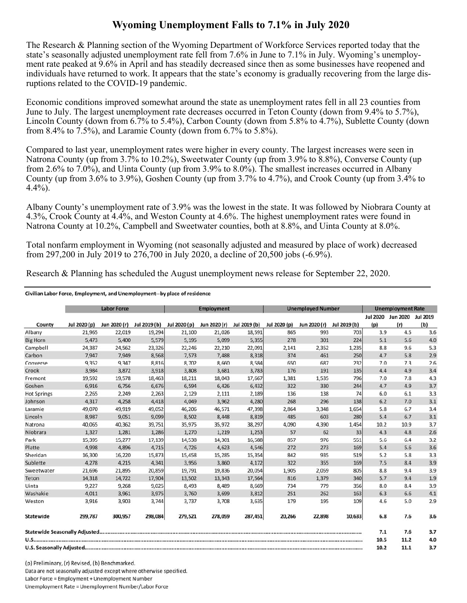## **Wyoming Unemployment Falls to 7.1% in July 2020**

The Research & Planning section of the Wyoming Department of Workforce Services reported today that the state's seasonally adjusted unemployment rate fell from 7.6% in June to 7.1% in July. Wyoming's unemployment rate peaked at 9.6% in April and has steadily decreased since then as some businesses have reopened and individuals have returned to work. It appears that the state's economy is gradually recovering from the large disruptions related to the COVID-19 pandemic.

Economic conditions improved somewhat around the state as unemployment rates fell in all 23 counties from June to July. The largest unemployment rate decreases occurred in Teton County (down from 9.4% to 5.7%), Lincoln County (down from 6.7% to 5.4%), Carbon County (down from 5.8% to 4.7%), Sublette County (down from 8.4% to 7.5%), and Laramie County (down from 6.7% to 5.8%).

Compared to last year, unemployment rates were higher in every county. The largest increases were seen in Natrona County (up from 3.7% to 10.2%), Sweetwater County (up from 3.9% to 8.8%), Converse County (up from 2.6% to 7.0%), and Uinta County (up from 3.9% to 8.0%). The smallest increases occurred in Albany County (up from 3.6% to 3.9%), Goshen County (up from 3.7% to 4.7%), and Crook County (up from 3.4% to 4.4%).

Albany County's unemployment rate of 3.9% was the lowest in the state. It was followed by Niobrara County at 4.3%, Crook County at 4.4%, and Weston County at 4.6%. The highest unemployment rates were found in Natrona County at 10.2%, Campbell and Sweetwater counties, both at 8.8%, and Uinta County at 8.0%.

Total nonfarm employment in Wyoming (not seasonally adjusted and measured by place of work) decreased from 297,200 in July 2019 to 276,700 in July 2020, a decline of 20,500 jobs (-6.9%).

Research & Planning has scheduled the August unemployment news release for September 22, 2020.

## Civilian Labor Force, Employment, and Unemployment--by place of residence

|                    |              | <b>Labor Force</b> |              |              | <b>Employment</b> |              |              | <b>Unemployed Number</b> |              |                 | <b>Unemployment Rate</b> |     |
|--------------------|--------------|--------------------|--------------|--------------|-------------------|--------------|--------------|--------------------------|--------------|-----------------|--------------------------|-----|
|                    |              |                    |              |              |                   |              |              |                          |              | <b>Jul 2020</b> | Jun 2020 Jul 2019        |     |
| County             | Jul 2020 (p) | Jun 2020 (r)       | Jul 2019 (b) | Jul 2020 (p) | Jun 2020 (r)      | Jul 2019 (b) | Jul 2020 (p) | Jun 2020 (r)             | Jul 2019 (b) | (p)             | (r)                      | (b) |
| Albany             | 21,965       | 22,019             | 19,294       | 21,100       | 21,026            | 18,591       | 865          | 993                      | 703          | 3.9             | 4.5                      | 3.6 |
| <b>Big Horn</b>    | 5,473        | 5,400              | 5,579        | 5,195        | 5,099             | 5,355        | 278          | 301                      | 224          | 5.1             | 5.6                      | 4.0 |
| Campbell           | 24,387       | 24,562             | 23,326       | 22,246       | 22,210            | 22,091       | 2,141        | 2,352                    | 1,235        | 8.8             | 9.6                      | 5.3 |
| Carbon             | 7.947        | 7,949              | 8,568        | 7,573        | 7,488             | 8,318        | 374          | 461                      | 250          | 4.7             | 5.8                      | 2.9 |
| Converse           | 9,352        | 9,347              | 8,816        | 8.702        | 8,660             | 8,584        | 650          | 687                      | 232          | 7.0             | 7.3                      | 2.6 |
| Crook              | 3,984        | 3,872              | 3,918        | 3,808        | 3,681             | 3,783        | 176          | 191                      | 135          | 4.4             | 4.9                      | 3.4 |
| Fremont            | 19,592       | 19,578             | 18,463       | 18,211       | 18,043            | 17,667       | 1,381        | 1,535                    | 796          | 7.0             | 7.8                      | 4.3 |
| Goshen             | 6,916        | 6,756              | 6,676        | 6,594        | 6,426             | 6,432        | 322          | 330                      | 244          | 4.7             | 4.9                      | 3.7 |
| <b>Hot Springs</b> | 2,265        | 2,249              | 2,263        | 2,129        | 2,111             | 2,189        | 136          | 138                      | 74           | 6.0             | 6.1                      | 3.3 |
| Johnson            | 4,317        | 4,258              | 4,418        | 4.049        | 3,962             | 4,280        | 268          | 296                      | 138          | 6.2             | 7.0                      | 3.1 |
| Laramie            | 49,070       | 49,919             | 49,052       | 46,206       | 46,571            | 47,398       | 2,864        | 3,348                    | 1,654        | 5.8             | 6.7                      | 3.4 |
| Lincoln            | 8,987        | 9,051              | 9,099        | 8,502        | 8,448             | 8,819        | 485          | 603                      | 280          | 5.4             | 6.7                      | 3.1 |
| Natrona            | 40,065       | 40,362             | 39,751       | 35,975       | 35,972            | 38,297       | 4,090        | 4,390                    | 1,454        | 10.2            | 10.9                     | 3.7 |
| Niobrara           | 1,327        | 1,281              | 1,286        | 1,270        | 1,219             | 1,253        | 57           | 62                       | 33           | 4.3             | 4.8                      | 2.6 |
| Park               | 15,395       | 15,277             | 17,139       | 14,538       | 14,301            | 16,588       | 857          | 976                      | 551          | 5.6             | 6.4                      | 3.2 |
| Platte             | 4,998        | 4,896              | 4,715        | 4,726        | 4,623             | 4,546        | 272          | 273                      | 169          | 5.4             | 5.6                      | 3.6 |
| Sheridan           | 16,300       | 16,220             | 15,873       | 15,458       | 15,285            | 15,354       | 842          | 935                      | 519          | 5.2             | 5.8                      | 3.3 |
| Sublette           | 4,278        | 4,215              | 4,341        | 3,956        | 3,860             | 4,172        | 322          | 355                      | 169          | 7.5             | 8.4                      | 3.9 |
| Sweetwater         | 21,696       | 21,895             | 20,859       | 19,791       | 19,836            | 20,054       | 1,905        | 2,059                    | 805          | 8.8             | 9.4                      | 3.9 |
| Teton              | 14,318       | 14,722             | 17,904       | 13,502       | 13,343            | 17,564       | 816          | 1,379                    | 340          | 5.7             | 9.4                      | 1.9 |
| Uinta              | 9,227        | 9,268              | 9,025        | 8,493        | 8,489             | 8,669        | 734          | 779                      | 356          | 8.0             | 8.4                      | 3.9 |
| Washakie           | 4.011        | 3,961              | 3,975        | 3,760        | 3,699             | 3,812        | 251          | 262                      | 163          | 6.3             | 6.6                      | 4.1 |
| Weston             | 3,916        | 3,903              | 3,744        | 3,737        | 3,708             | 3,635        | 179          | 195                      | 109          | 4.6             | 5.0                      | 2.9 |
| Statewide          | 299,787      | 300,957            | 298,084      | 279,521      | 278,059           | 287,451      | 20,266       | 22,898                   | 10,633       | 6.8             | 7.6                      | 3.6 |
|                    |              |                    |              |              |                   |              |              |                          |              | 7.1             | 7.6                      | 3.7 |
|                    |              |                    |              |              |                   |              |              |                          |              | 10.5            | 11.2                     | 4.0 |
|                    |              |                    |              |              |                   |              |              |                          |              | 10.2            | 11.1                     | 3.7 |

(p) Preliminary, (r) Revised, (b) Benchmarked. Data are not seasonally adjusted except where otherwise specified. Labor Force = Employment + Unemployment Number Unemployment Rate = Unemployment Number/Labor Force